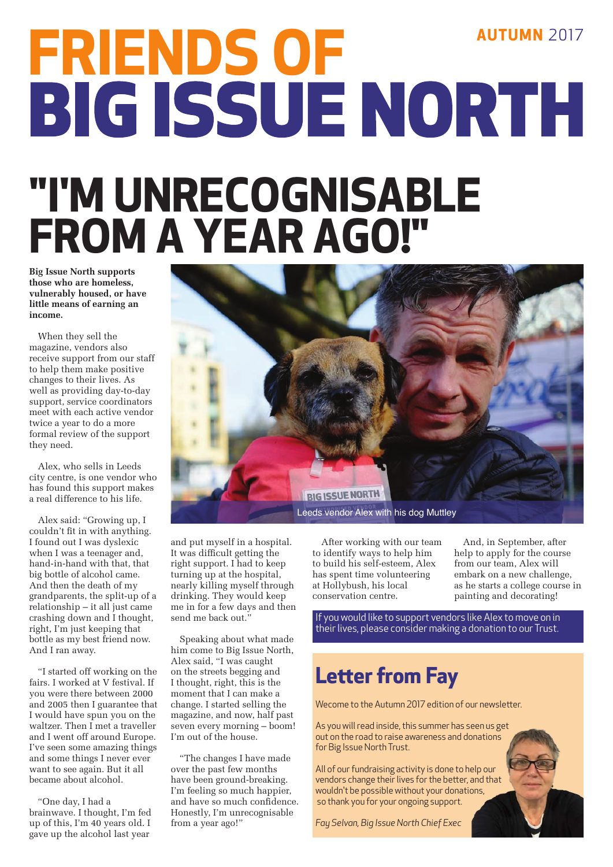# **FRIENDS OF<br>BIG ISSUE NORTH "I'M UNRECOGNISABLE FROM A YEAR AGO!"**

**Big Issue North supports those who are homeless, vulnerably housed, or have little means of earning an income.**

When they sell the magazine, vendors also receive support from our staff to help them make positive changes to their lives. As well as providing day-to-day support, service coordinators meet with each active vendor twice a year to do a more formal review of the support they need.

Alex, who sells in Leeds city centre, is one vendor who has found this support makes a real difference to his life.

Alex said: "Growing up, I couldn't fit in with anything. I found out I was dyslexic when I was a teenager and, hand-in-hand with that, that big bottle of alcohol came. And then the death of my grandparents, the split-up of a relationship – it all just came crashing down and I thought, right, I'm just keeping that bottle as my best friend now. And I ran away.

"I started off working on the fairs. I worked at V festival. If you were there between 2000 and 2005 then I guarantee that I would have spun you on the waltzer. Then I met a traveller and I went off around Europe. I've seen some amazing things and some things I never ever want to see again. But it all became about alcohol.

"One day, I had a brainwave. I thought, I'm fed up of this, I'm 40 years old. I gave up the alcohol last year



and put myself in a hospital. It was difficult getting the right support. I had to keep turning up at the hospital, nearly killing myself through drinking. They would keep me in for a few days and then send me back out."

Speaking about what made him come to Big Issue North, Alex said, "I was caught on the streets begging and I thought, right, this is the moment that I can make a change. I started selling the magazine, and now, half past seven every morning – boom! I'm out of the house.

"The changes I have made over the past few months have been ground-breaking. I'm feeling so much happier, and have so much confidence. Honestly, I'm unrecognisable from a year ago!"

After working with our team to identify ways to help him to build his self-esteem, Alex has spent time volunteering at Hollybush, his local conservation centre.

And, in September, after help to apply for the course from our team, Alex will embark on a new challenge, as he starts a college course in painting and decorating!

If you would like to support vendors like Alex to move on in their lives, please consider making a donation to our Trust.

#### **Letter from Fay**

Wecome to the Autumn 2017 edition of our newsletter.

As you will read inside, this summer has seen us get out on the road to raise awareness and donations for Big Issue North Trust.

All of our fundraising activity is done to help our vendors change their lives for the better, and that wouldn't be possible without your donations, so thank you for your ongoing support.

*Fay Selvan, Big Issue North Chief Exec*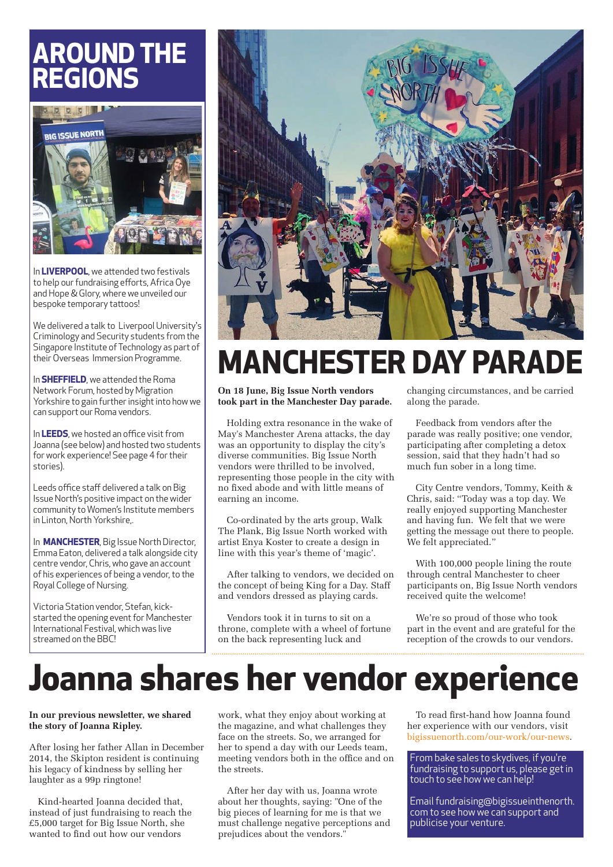#### **AROUND THE REGIONS**



In **LIVERPOOL**, we attended two festivals to help our fundraising efforts, Africa Oye and Hope & Glory, where we unveiled our bespoke temporary tattoos!

We delivered a talk to Liverpool University's Criminology and Security students from the Singapore Institute of Technology as part of their Overseas Immersion Programme.

In **SHEFFIELD**, we attended the Roma Network Forum, hosted by Migration Yorkshire to gain further insight into how we can support our Roma vendors.

In **LEEDS**, we hosted an office visit from Joanna (see below) and hosted two students for work experience! See page 4 for their stories).

Leeds office staff delivered a talk on Big Issue North's positive impact on the wider community to Women's Institute members in Linton, North Yorkshire,.

In **MANCHESTER**, Big Issue North Director, Emma Eaton, delivered a talk alongside city centre vendor, Chris, who gave an account of his experiences of being a vendor, to the Royal College of Nursing.

Victoria Station vendor, Stefan, kickstarted the opening event for Manchester International Festival, which was live streamed on the BBC!



### **MANCHESTER DAY PARADE**

**On 18 June, Big Issue North vendors took part in the Manchester Day parade.**

Holding extra resonance in the wake of May's Manchester Arena attacks, the day was an opportunity to display the city's diverse communities. Big Issue North vendors were thrilled to be involved, representing those people in the city with no fixed abode and with little means of earning an income.

Co-ordinated by the arts group, Walk The Plank, Big Issue North worked with artist Enya Koster to create a design in line with this year's theme of 'magic'.

After talking to vendors, we decided on the concept of being King for a Day. Staff and vendors dressed as playing cards.

Vendors took it in turns to sit on a throne, complete with a wheel of fortune on the back representing luck and

changing circumstances, and be carried along the parade.

Feedback from vendors after the parade was really positive; one vendor, participating after completing a detox session, said that they hadn't had so much fun sober in a long time.

City Centre vendors, Tommy, Keith & Chris, said: "Today was a top day. We really enjoyed supporting Manchester and having fun. We felt that we were getting the message out there to people. We felt appreciated."

With 100,000 people lining the route through central Manchester to cheer participants on, Big Issue North vendors received quite the welcome!

We're so proud of those who took part in the event and are grateful for the reception of the crowds to our vendors.

## **Joanna shares her vendor experience**

#### **In our previous newsletter, we shared the story of Joanna Ripley.**

After losing her father Allan in December 2014, the Skipton resident is continuing his legacy of kindness by selling her laughter as a 99p ringtone!

Kind-hearted Joanna decided that, instead of just fundraising to reach the £5,000 target for Big Issue North, she wanted to find out how our vendors

work, what they enjoy about working at the magazine, and what challenges they face on the streets. So, we arranged for her to spend a day with our Leeds team, meeting vendors both in the office and on the streets.

After her day with us, Joanna wrote about her thoughts, saying: "One of the big pieces of learning for me is that we must challenge negative perceptions and prejudices about the vendors."

To read first-hand how Joanna found her experience with our vendors, visit bigissuenorth.com/our-work/our-news.

From bake sales to skydives, if you're fundraising to support us, please get in touch to see how we can help!

Email fundraising@bigissueinthenorth. com to see how we can support and publicise your venture.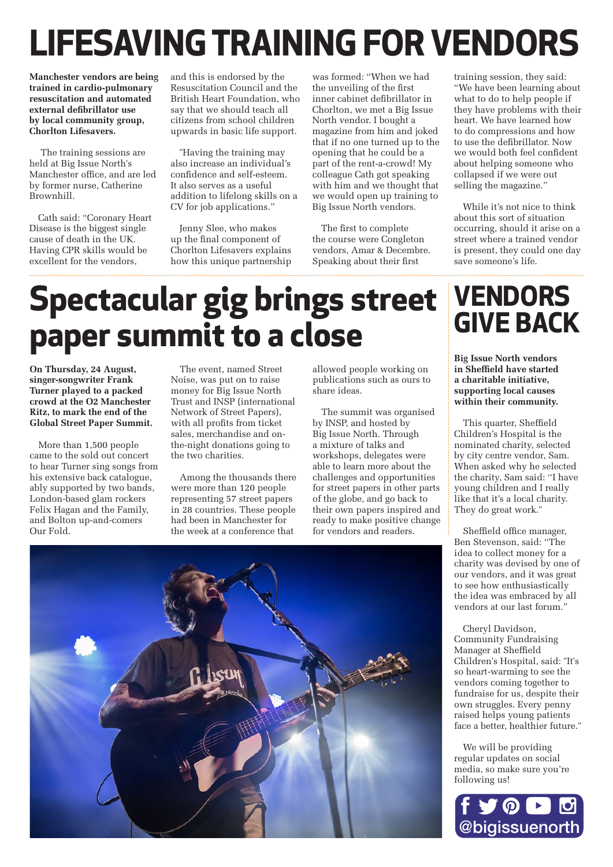## **LIFESAVING TRAINING FOR VENDORS**

**Manchester vendors are being trained in cardio-pulmonary resuscitation and automated external defibrillator use by local community group, Chorlton Lifesavers.** 

 The training sessions are held at Big Issue North's Manchester office, and are led by former nurse, Catherine Brownhill.

Cath said: "Coronary Heart Disease is the biggest single cause of death in the UK. Having CPR skills would be excellent for the vendors,

and this is endorsed by the Resuscitation Council and the British Heart Foundation, who say that we should teach all citizens from school children upwards in basic life support.

"Having the training may also increase an individual's confidence and self-esteem. It also serves as a useful addition to lifelong skills on a CV for job applications."

Jenny Slee, who makes up the final component of Chorlton Lifesavers explains how this unique partnership

was formed: "When we had the unveiling of the first inner cabinet defibrillator in Chorlton, we met a Big Issue North vendor. I bought a magazine from him and joked that if no one turned up to the opening that he could be a part of the rent-a-crowd! My colleague Cath got speaking with him and we thought that we would open up training to Big Issue North vendors.

The first to complete the course were Congleton vendors, Amar & Decembre. Speaking about their first

training session, they said: "We have been learning about what to do to help people if they have problems with their heart. We have learned how to do compressions and how to use the defibrillator. Now we would both feel confident about helping someone who collapsed if we were out selling the magazine.'

While it's not nice to think about this sort of situation occurring, should it arise on a street where a trained vendor is present, they could one day save someone's life.

## **Spectacular gig brings street paper summit to a close**

**On Thursday, 24 August, singer-songwriter Frank Turner played to a packed crowd at the O2 Manchester Ritz, to mark the end of the Global Street Paper Summit.**

More than 1,500 people came to the sold out concert to hear Turner sing songs from his extensive back catalogue, ably supported by two bands, London-based glam rockers Felix Hagan and the Family, and Bolton up-and-comers Our Fold.

The event, named Street Noise, was put on to raise money for Big Issue North Trust and INSP (international Network of Street Papers), with all profits from ticket sales, merchandise and onthe-night donations going to the two charities.

Among the thousands there were more than 120 people representing 57 street papers in 28 countries. These people had been in Manchester for the week at a conference that

allowed people working on publications such as ours to share ideas.

The summit was organised by INSP, and hosted by Big Issue North. Through a mixture of talks and workshops, delegates were able to learn more about the challenges and opportunities for street papers in other parts of the globe, and go back to their own papers inspired and ready to make positive change for vendors and readers.

## **VENDORS**

**Big Issue North vendors in Sheffield have started a charitable initiative, supporting local causes within their community.**

This quarter, Sheffield Children's Hospital is the nominated charity, selected by city centre vendor, Sam. When asked why he selected the charity, Sam said: ''I have young children and I really like that it's a local charity. They do great work."

Sheffield office manager, Ben Stevenson, said: "The idea to collect money for a charity was devised by one of our vendors, and it was great to see how enthusiastically the idea was embraced by all vendors at our last forum."

Cheryl Davidson, Community Fundraising Manager at Sheffield Children's Hospital, said: "It's so heart-warming to see the vendors coming together to fundraise for us, despite their own struggles. Every penny raised helps young patients face a better, healthier future."

We will be providing regular updates on social media, so make sure you're following us!